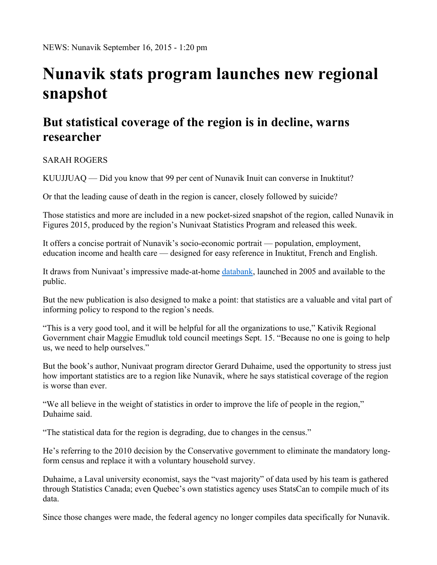## **Nunavik stats program launches new regional snapshot**

## **But statistical coverage of the region is in decline, warns researcher**

## SARAH ROGERS

KUUJJUAQ — Did you know that 99 per cent of Nunavik Inuit can converse in Inuktitut?

Or that the leading cause of death in the region is cancer, closely followed by suicide?

Those statistics and more are included in a new pocket-sized snapshot of the region, called Nunavik in Figures 2015, produced by the region's Nunivaat Statistics Program and released this week.

It offers a concise portrait of Nunavik's socio-economic portrait — population, employment, education income and health care — designed for easy reference in Inuktitut, French and English.

It draws from Nunivaat's impressive made-at-home databank, launched in 2005 and available to the public.

But the new publication is also designed to make a point: that statistics are a valuable and vital part of informing policy to respond to the region's needs.

"This is a very good tool, and it will be helpful for all the organizations to use," Kativik Regional Government chair Maggie Emudluk told council meetings Sept. 15. "Because no one is going to help us, we need to help ourselves."

But the book's author, Nunivaat program director Gerard Duhaime, used the opportunity to stress just how important statistics are to a region like Nunavik, where he says statistical coverage of the region is worse than ever.

"We all believe in the weight of statistics in order to improve the life of people in the region," Duhaime said.

"The statistical data for the region is degrading, due to changes in the census."

He's referring to the 2010 decision by the Conservative government to eliminate the mandatory longform census and replace it with a voluntary household survey.

Duhaime, a Laval university economist, says the "vast majority" of data used by his team is gathered through Statistics Canada; even Quebec's own statistics agency uses StatsCan to compile much of its data.

Since those changes were made, the federal agency no longer compiles data specifically for Nunavik.